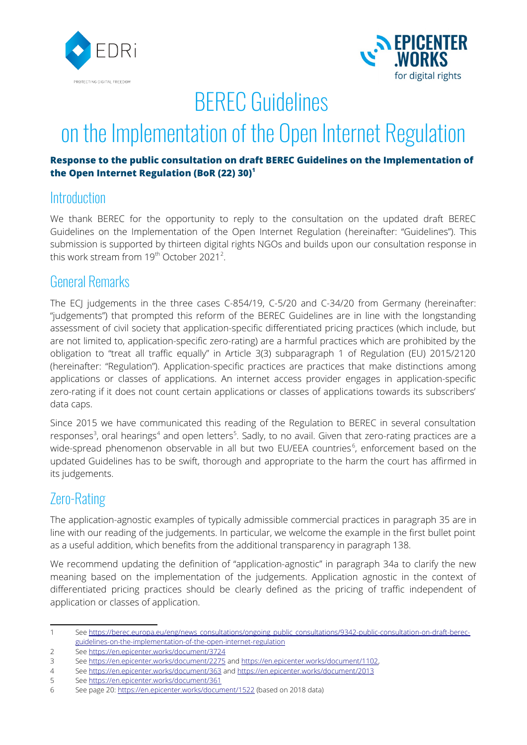



## BEREC Guidelines

# on the Implementation of the Open Internet Regulation

#### **Response to the public consultation on draft BEREC Guidelines on the Implementation of the Open Internet Regulation (BoR (22) 30)[1](#page-0-0)**

#### **Introduction**

We thank BEREC for the opportunity to reply to the consultation on the updated draft BEREC Guidelines on the Implementation of the Open Internet Regulation (hereinafter: "Guidelines"). This submission is supported by thirteen digital rights NGOs and builds upon our consultation response in this work stream from  $19<sup>th</sup>$  October [2](#page-0-1)021<sup>2</sup>.

#### General Remarks

The ECJ judgements in the three cases C-854/19, C-5/20 and C-34/20 from Germany (hereinafter: "judgements") that prompted this reform of the BEREC Guidelines are in line with the longstanding assessment of civil society that application-specific differentiated pricing practices (which include, but are not limited to, application-specific zero-rating) are a harmful practices which are prohibited by the obligation to "treat all traffic equally" in Article 3(3) subparagraph 1 of Regulation (EU) 2015/2120 (hereinafter: "Regulation"). Application-specific practices are practices that make distinctions among applications or classes of applications. An internet access provider engages in application-specific zero-rating if it does not count certain applications or classes of applications towards its subscribers' data caps.

Since 2015 we have communicated this reading of the Regulation to BEREC in several consultation responses<sup>[3](#page-0-2)</sup>, oral hearings<sup>[4](#page-0-3)</sup> and open letters<sup>[5](#page-0-4)</sup>. Sadly, to no avail. Given that zero-rating practices are a wide-spread phenomenon observable in all but two EU/EEA countries<sup>[6](#page-0-5)</sup>, enforcement based on the updated Guidelines has to be swift, thorough and appropriate to the harm the court has affirmed in its judgements.

### Zero-Rating

The application-agnostic examples of typically admissible commercial practices in paragraph 35 are in line with our reading of the judgements. In particular, we welcome the example in the first bullet point as a useful addition, which benefits from the additional transparency in paragraph 138.

We recommend updating the definition of "application-agnostic" in paragraph 34a to clarify the new meaning based on the implementation of the judgements. Application agnostic in the context of differentiated pricing practices should be clearly defined as the pricing of traffic independent of application or classes of application.

<span id="page-0-0"></span><sup>1</sup> See [https://berec.europa.eu/eng/news\\_consultations/ongoing\\_public\\_consultations/9342-public-consultation-on-draft-berec](https://berec.europa.eu/eng/news_consultations/ongoing_public_consultations/9342-public-consultation-on-draft-berec-guidelines-on-the-implementation-of-the-open-internet-regulation)[guidelines-on-the-implementation-of-the-open-internet-regulation](https://berec.europa.eu/eng/news_consultations/ongoing_public_consultations/9342-public-consultation-on-draft-berec-guidelines-on-the-implementation-of-the-open-internet-regulation)

<span id="page-0-1"></span><sup>2</sup> See<https://en.epicenter.works/document/3724>

<span id="page-0-2"></span><sup>3</sup> See<https://en.epicenter.works/document/2275> and <https://en.epicenter.works/document/1102>,

<span id="page-0-3"></span><sup>4</sup> See<https://en.epicenter.works/document/363> and<https://en.epicenter.works/document/2013>

<span id="page-0-4"></span><sup>5</sup> See<https://en.epicenter.works/document/361>

<span id="page-0-5"></span><sup>6</sup> See page 20:<https://en.epicenter.works/document/1522>(based on 2018 data)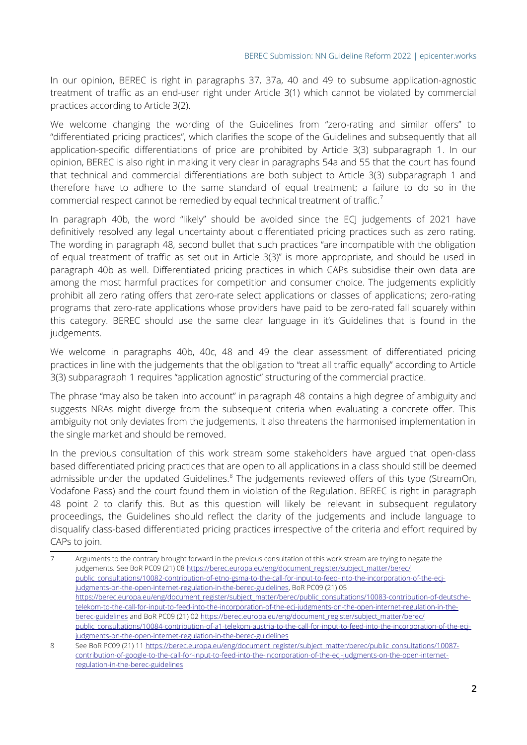In our opinion, BEREC is right in paragraphs 37, 37a, 40 and 49 to subsume application-agnostic treatment of traffic as an end-user right under Article 3(1) which cannot be violated by commercial practices according to Article 3(2).

We welcome changing the wording of the Guidelines from "zero-rating and similar offers" to "differentiated pricing practices", which clarifies the scope of the Guidelines and subsequently that all application-specific differentiations of price are prohibited by Article 3(3) subparagraph 1. In our opinion, BEREC is also right in making it very clear in paragraphs 54a and 55 that the court has found that technical and commercial differentiations are both subject to Article 3(3) subparagraph 1 and therefore have to adhere to the same standard of equal treatment; a failure to do so in the commercial respect cannot be remedied by equal technical treatment of traffic.[7](#page-1-0)

In paragraph 40b, the word "likely" should be avoided since the ECJ judgements of 2021 have definitively resolved any legal uncertainty about differentiated pricing practices such as zero rating. The wording in paragraph 48, second bullet that such practices "are incompatible with the obligation of equal treatment of traffic as set out in Article 3(3)" is more appropriate, and should be used in paragraph 40b as well. Differentiated pricing practices in which CAPs subsidise their own data are among the most harmful practices for competition and consumer choice. The judgements explicitly prohibit all zero rating offers that zero-rate select applications or classes of applications; zero-rating programs that zero-rate applications whose providers have paid to be zero-rated fall squarely within this category. BEREC should use the same clear language in it's Guidelines that is found in the judgements.

We welcome in paragraphs 40b, 40c, 48 and 49 the clear assessment of differentiated pricing practices in line with the judgements that the obligation to "treat all traffic equally" according to Article 3(3) subparagraph 1 requires "application agnostic" structuring of the commercial practice.

The phrase "may also be taken into account" in paragraph 48 contains a high degree of ambiguity and suggests NRAs might diverge from the subsequent criteria when evaluating a concrete offer. This ambiguity not only deviates from the judgements, it also threatens the harmonised implementation in the single market and should be removed.

In the previous consultation of this work stream some stakeholders have argued that open-class based differentiated pricing practices that are open to all applications in a class should still be deemed admissible under the updated Guidelines.<sup>[8](#page-1-1)</sup> The judgements reviewed offers of this type (StreamOn, Vodafone Pass) and the court found them in violation of the Regulation. BEREC is right in paragraph 48 point 2 to clarify this. But as this question will likely be relevant in subsequent regulatory proceedings, the Guidelines should reflect the clarity of the judgements and include language to disqualify class-based differentiated pricing practices irrespective of the criteria and effort required by CAPs to join.

<span id="page-1-0"></span><sup>7</sup> Arguments to the contrary brought forward in the previous consultation of this work stream are trying to negate the judgements. See BoR PC09 (21) 08 [https://berec.europa.eu/eng/document\\_register/subject\\_matter/berec/](https://berec.europa.eu/eng/document_register/subject_matter/berec/public_consultations/10082-contribution-of-etno-gsma-to-the-call-for-input-to-feed-into-the-incorporation-of-the-ecj-judgments-on-the-open-internet-regulation-in-the-berec-guidelines) [public\\_consultations/10082-contribution-of-etno-gsma-to-the-call-for-input-to-feed-into-the-incorporation-of-the-ecj](https://berec.europa.eu/eng/document_register/subject_matter/berec/public_consultations/10082-contribution-of-etno-gsma-to-the-call-for-input-to-feed-into-the-incorporation-of-the-ecj-judgments-on-the-open-internet-regulation-in-the-berec-guidelines)[judgments-on-the-open-internet-regulation-in-the-berec-guidelines](https://berec.europa.eu/eng/document_register/subject_matter/berec/public_consultations/10082-contribution-of-etno-gsma-to-the-call-for-input-to-feed-into-the-incorporation-of-the-ecj-judgments-on-the-open-internet-regulation-in-the-berec-guidelines), BoR PC09 (21) 05 [https://berec.europa.eu/eng/document\\_register/subject\\_matter/berec/public\\_consultations/10083-contribution-of-deutsche](https://berec.europa.eu/eng/document_register/subject_matter/berec/public_consultations/10083-contribution-of-deutsche-telekom-to-the-call-for-input-to-feed-into-the-incorporation-of-the-ecj-judgments-on-the-open-internet-regulation-in-the-berec-guidelines)[telekom-to-the-call-for-input-to-feed-into-the-incorporation-of-the-ecj-judgments-on-the-open-internet-regulation-in-the](https://berec.europa.eu/eng/document_register/subject_matter/berec/public_consultations/10083-contribution-of-deutsche-telekom-to-the-call-for-input-to-feed-into-the-incorporation-of-the-ecj-judgments-on-the-open-internet-regulation-in-the-berec-guidelines)[berec-guidelines](https://berec.europa.eu/eng/document_register/subject_matter/berec/public_consultations/10083-contribution-of-deutsche-telekom-to-the-call-for-input-to-feed-into-the-incorporation-of-the-ecj-judgments-on-the-open-internet-regulation-in-the-berec-guidelines) and BoR PC09 (21) 02 [https://berec.europa.eu/eng/document\\_register/subject\\_matter/berec/](https://berec.europa.eu/eng/document_register/subject_matter/berec/public_consultations/10084-contribution-of-a1-telekom-austria-to-the-call-for-input-to-feed-into-the-incorporation-of-the-ecj-judgments-on-the-open-internet-regulation-in-the-berec-guidelines) [public\\_consultations/10084-contribution-of-a1-telekom-austria-to-the-call-for-input-to-feed-into-the-incorporation-of-the-ecj](https://berec.europa.eu/eng/document_register/subject_matter/berec/public_consultations/10084-contribution-of-a1-telekom-austria-to-the-call-for-input-to-feed-into-the-incorporation-of-the-ecj-judgments-on-the-open-internet-regulation-in-the-berec-guidelines)[judgments-on-the-open-internet-regulation-in-the-berec-guidelines](https://berec.europa.eu/eng/document_register/subject_matter/berec/public_consultations/10084-contribution-of-a1-telekom-austria-to-the-call-for-input-to-feed-into-the-incorporation-of-the-ecj-judgments-on-the-open-internet-regulation-in-the-berec-guidelines)

<span id="page-1-1"></span><sup>8</sup> See BoR PC09 (21) 11 [https://berec.europa.eu/eng/document\\_register/subject\\_matter/berec/public\\_consultations/10087](https://berec.europa.eu/eng/document_register/subject_matter/berec/public_consultations/10087-contribution-of-google-to-the-call-for-input-to-feed-into-the-incorporation-of-the-ecj-judgments-on-the-open-internet-regulation-in-the-berec-guidelines) [contribution-of-google-to-the-call-for-input-to-feed-into-the-incorporation-of-the-ecj-judgments-on-the-open-internet](https://berec.europa.eu/eng/document_register/subject_matter/berec/public_consultations/10087-contribution-of-google-to-the-call-for-input-to-feed-into-the-incorporation-of-the-ecj-judgments-on-the-open-internet-regulation-in-the-berec-guidelines)[regulation-in-the-berec-guidelines](https://berec.europa.eu/eng/document_register/subject_matter/berec/public_consultations/10087-contribution-of-google-to-the-call-for-input-to-feed-into-the-incorporation-of-the-ecj-judgments-on-the-open-internet-regulation-in-the-berec-guidelines)